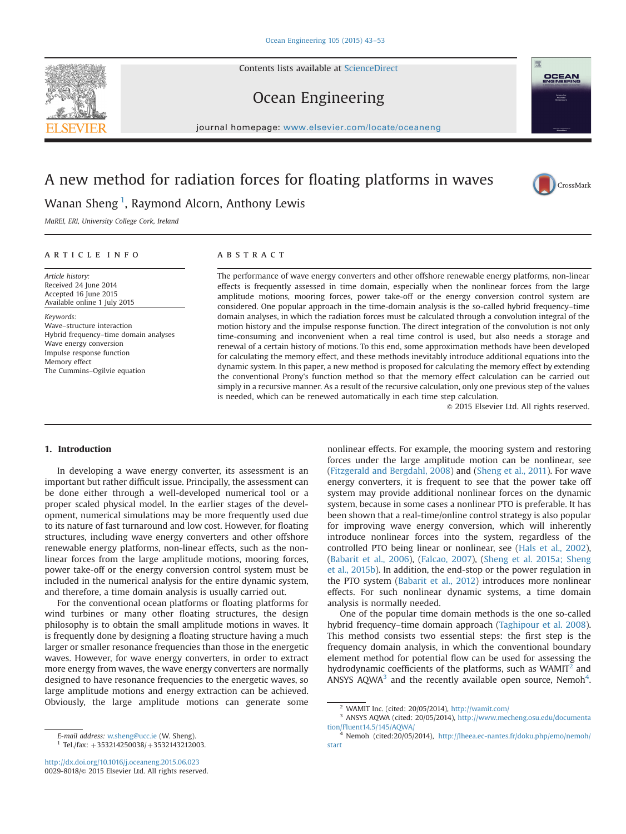Contents lists available at [ScienceDirect](www.sciencedirect.com/science/journal/00298018)

# Ocean Engineering

journal homepage: <www.elsevier.com/locate/oceaneng>/locate/oceaneng/locate/oceaneng/locate/oceaneng/locate/oceaneng/locate/oceaneng/locate/oceaneng/locate/oceaneng/locate/oceaneng/locate/oceaneng/locate/oceaneng/locate/oce

# A new method for radiation forces for floating platforms in waves



MaREI, ERI, University College Cork, Ireland

## article info

Article history: Received 24 June 2014 Accepted 16 June 2015 Available online 1 July 2015

Keywords: Wave–structure interaction Hybrid frequency–time domain analyses Wave energy conversion Impulse response function Memory effect The Cummins–Ogilvie equation

### **ABSTRACT**

The performance of wave energy converters and other offshore renewable energy platforms, non-linear effects is frequently assessed in time domain, especially when the nonlinear forces from the large amplitude motions, mooring forces, power take-off or the energy conversion control system are considered. One popular approach in the time-domain analysis is the so-called hybrid frequency–time domain analyses, in which the radiation forces must be calculated through a convolution integral of the motion history and the impulse response function. The direct integration of the convolution is not only time-consuming and inconvenient when a real time control is used, but also needs a storage and renewal of a certain history of motions. To this end, some approximation methods have been developed for calculating the memory effect, and these methods inevitably introduce additional equations into the dynamic system. In this paper, a new method is proposed for calculating the memory effect by extending the conventional Prony's function method so that the memory effect calculation can be carried out simply in a recursive manner. As a result of the recursive calculation, only one previous step of the values is needed, which can be renewed automatically in each time step calculation.

 $\odot$  2015 Elsevier Ltd. All rights reserved.

## 1. Introduction

In developing a wave energy converter, its assessment is an important but rather difficult issue. Principally, the assessment can be done either through a well-developed numerical tool or a proper scaled physical model. In the earlier stages of the development, numerical simulations may be more frequently used due to its nature of fast turnaround and low cost. However, for floating structures, including wave energy converters and other offshore renewable energy platforms, non-linear effects, such as the nonlinear forces from the large amplitude motions, mooring forces, power take-off or the energy conversion control system must be included in the numerical analysis for the entire dynamic system, and therefore, a time domain analysis is usually carried out.

For the conventional ocean platforms or floating platforms for wind turbines or many other floating structures, the design philosophy is to obtain the small amplitude motions in waves. It is frequently done by designing a floating structure having a much larger or smaller resonance frequencies than those in the energetic waves. However, for wave energy converters, in order to extract more energy from waves, the wave energy converters are normally designed to have resonance frequencies to the energetic waves, so large amplitude motions and energy extraction can be achieved. Obviously, the large amplitude motions can generate some

E-mail address: [w.sheng@ucc.ie](mailto:w.sheng@ucc.ie) (W. Sheng).  $1$  Tel./fax: +353214250038/+3532143212003.

<http://dx.doi.org/10.1016/j.oceaneng.2015.06.023> 0029-8018/@ 2015 Elsevier Ltd. All rights reserved. nonlinear effects. For example, the mooring system and restoring forces under the large amplitude motion can be nonlinear, see ([Fitzgerald and Bergdahl, 2008\)](#page--1-0) and [\(Sheng et al., 2011\)](#page--1-0). For wave energy converters, it is frequent to see that the power take off system may provide additional nonlinear forces on the dynamic system, because in some cases a nonlinear PTO is preferable. It has been shown that a real-time/online control strategy is also popular for improving wave energy conversion, which will inherently introduce nonlinear forces into the system, regardless of the controlled PTO being linear or nonlinear, see ([Hals et al., 2002\)](#page--1-0), ([Babarit et al., 2006](#page--1-0)), [\(Falcao, 2007](#page--1-0)), ([Sheng et al. 2015a; Sheng](#page--1-0) [et al., 2015b](#page--1-0)). In addition, the end-stop or the power regulation in the PTO system [\(Babarit et al., 2012\)](#page--1-0) introduces more nonlinear effects. For such nonlinear dynamic systems, a time domain analysis is normally needed.

One of the popular time domain methods is the one so-called hybrid frequency–time domain approach [\(Taghipour et al. 2008\)](#page--1-0). This method consists two essential steps: the first step is the frequency domain analysis, in which the conventional boundary element method for potential flow can be used for assessing the hydrodynamic coefficients of the platforms, such as  $WAMIT<sup>2</sup>$  and ANSYS AQWA<sup>3</sup> and the recently available open source, Nemoh<sup>4</sup>.





CrossMark

<sup>2</sup> WAMIT Inc. (cited: 20/05/2014), <http://wamit.com/>

<sup>3</sup> ANSYS AQWA (cited: 20/05/2014), [http://www.mecheng.osu.edu/documenta](http://www.mecheng.osu.edu/documentation/Fluent14.5/145/AQWA/) [tion/Fluent14.5/145/AQWA/](http://www.mecheng.osu.edu/documentation/Fluent14.5/145/AQWA/)

<sup>4</sup> Nemoh (cited:20/05/2014), [http://lheea.ec-nantes.fr/doku.php/emo/nemoh/](http://lheea.ec-nantes.fr/doku.php/emo/nemoh/start) [start](http://lheea.ec-nantes.fr/doku.php/emo/nemoh/start)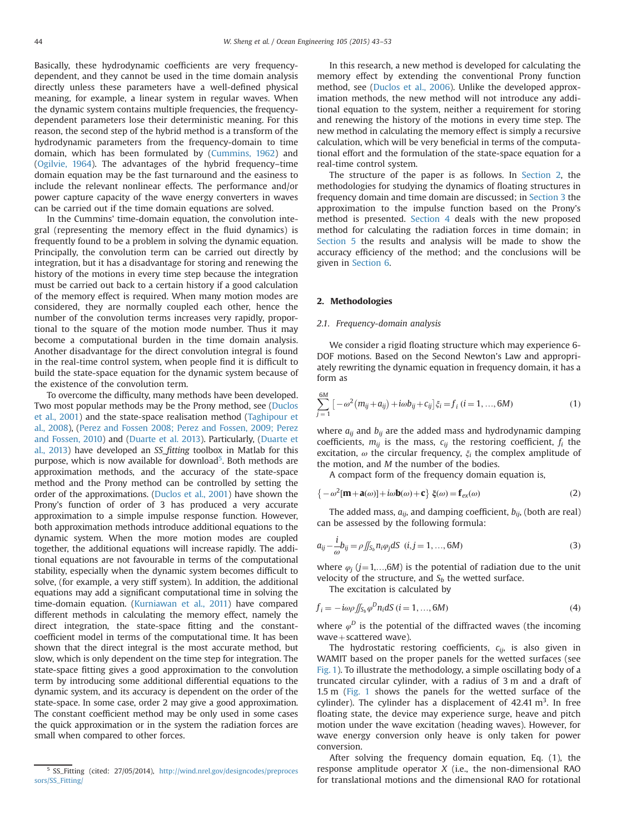Basically, these hydrodynamic coefficients are very frequencydependent, and they cannot be used in the time domain analysis directly unless these parameters have a well-defined physical meaning, for example, a linear system in regular waves. When the dynamic system contains multiple frequencies, the frequencydependent parameters lose their deterministic meaning. For this reason, the second step of the hybrid method is a transform of the hydrodynamic parameters from the frequency-domain to time domain, which has been formulated by [\(Cummins, 1962\)](#page--1-0) and ([Ogilvie, 1964](#page--1-0)). The advantages of the hybrid frequency–time domain equation may be the fast turnaround and the easiness to include the relevant nonlinear effects. The performance and/or power capture capacity of the wave energy converters in waves can be carried out if the time domain equations are solved.

In the Cummins' time-domain equation, the convolution integral (representing the memory effect in the fluid dynamics) is frequently found to be a problem in solving the dynamic equation. Principally, the convolution term can be carried out directly by integration, but it has a disadvantage for storing and renewing the history of the motions in every time step because the integration must be carried out back to a certain history if a good calculation of the memory effect is required. When many motion modes are considered, they are normally coupled each other, hence the number of the convolution terms increases very rapidly, proportional to the square of the motion mode number. Thus it may become a computational burden in the time domain analysis. Another disadvantage for the direct convolution integral is found in the real-time control system, when people find it is difficult to build the state-space equation for the dynamic system because of the existence of the convolution term.

To overcome the difficulty, many methods have been developed. Two most popular methods may be the Prony method, see ([Duclos](#page--1-0) [et al., 2001](#page--1-0)) and the state-space realisation method ([Taghipour et](#page--1-0) [al., 2008\)](#page--1-0), ([Perez and Fossen 2008; Perez and Fossen, 2009; Perez](#page--1-0) [and Fossen, 2010](#page--1-0)) and [\(Duarte et al. 2013\)](#page--1-0). Particularly, [\(Duarte et](#page--1-0) [al., 2013](#page--1-0)) have developed an SS\_fitting toolbox in Matlab for this purpose, which is now available for download<sup>5</sup>. Both methods are approximation methods, and the accuracy of the state-space method and the Prony method can be controlled by setting the order of the approximations. [\(Duclos et al., 2001](#page--1-0)) have shown the Prony's function of order of 3 has produced a very accurate approximation to a simple impulse response function. However, both approximation methods introduce additional equations to the dynamic system. When the more motion modes are coupled together, the additional equations will increase rapidly. The additional equations are not favourable in terms of the computational stability, especially when the dynamic system becomes difficult to solve, (for example, a very stiff system). In addition, the additional equations may add a significant computational time in solving the time-domain equation. ([Kurniawan et al., 2011\)](#page--1-0) have compared different methods in calculating the memory effect, namely the direct integration, the state-space fitting and the constantcoefficient model in terms of the computational time. It has been shown that the direct integral is the most accurate method, but slow, which is only dependent on the time step for integration. The state-space fitting gives a good approximation to the convolution term by introducing some additional differential equations to the dynamic system, and its accuracy is dependent on the order of the state-space. In some case, order 2 may give a good approximation. The constant coefficient method may be only used in some cases the quick approximation or in the system the radiation forces are small when compared to other forces.

In this research, a new method is developed for calculating the memory effect by extending the conventional Prony function method, see [\(Duclos et al., 2006](#page--1-0)). Unlike the developed approximation methods, the new method will not introduce any additional equation to the system, neither a requirement for storing and renewing the history of the motions in every time step. The new method in calculating the memory effect is simply a recursive calculation, which will be very beneficial in terms of the computational effort and the formulation of the state-space equation for a real-time control system.

The structure of the paper is as follows. In Section 2, the methodologies for studying the dynamics of floating structures in frequency domain and time domain are discussed; in [Section 3](#page--1-0) the approximation to the impulse function based on the Prony's method is presented. [Section 4](#page--1-0) deals with the new proposed method for calculating the radiation forces in time domain; in [Section 5](#page--1-0) the results and analysis will be made to show the accuracy efficiency of the method; and the conclusions will be given in [Section 6](#page--1-0).

#### 2. Methodologies

#### 2.1. Frequency-domain analysis

We consider a rigid floating structure which may experience 6- DOF motions. Based on the Second Newton's Law and appropriately rewriting the dynamic equation in frequency domain, it has a form as

$$
\sum_{j=1}^{6M} \left[ -\omega^2 \left( m_{ij} + a_{ij} \right) + i\omega b_{ij} + c_{ij} \right] \xi_i = f_i \ (i = 1, ..., 6M) \tag{1}
$$

where  $a_{ij}$  and  $b_{ij}$  are the added mass and hydrodynamic damping coefficients,  $m_{ij}$  is the mass,  $c_{ij}$  the restoring coefficient,  $f_i$  the excitation,  $\omega$  the circular frequency,  $\xi_i$  the complex amplitude of the motion, and M the number of the bodies.

A compact form of the frequency domain equation is,

$$
\left\{-\omega^2[\mathbf{m}+\mathbf{a}(\omega)]+i\omega\mathbf{b}(\omega)+\mathbf{c}\right\}\xi(\omega)=\mathbf{f}_{ex}(\omega)
$$
 (2)

The added mass,  $a_{ij}$ , and damping coefficient,  $b_{ij}$ , (both are real) can be assessed by the following formula:

$$
a_{ij} - \frac{i}{\omega} b_{ij} = \rho \iint_{S_b} n_i \varphi_j dS \ \ (i, j = 1, ..., 6M)
$$
 (3)

where  $\varphi_i$  (j = 1,..., 6M) is the potential of radiation due to the unit velocity of the structure, and  $S_b$  the wetted surface.

The excitation is calculated by

$$
f_i = -i\omega \rho \iint_{S_b} \varphi^D n_i dS \ (i = 1, ..., 6M)
$$
 (4)

where  $\varphi^D$  is the potential of the diffracted waves (the incoming  $wave + scattered$  wave).

The hydrostatic restoring coefficients,  $c_{ij}$ , is also given in WAMIT based on the proper panels for the wetted surfaces (see [Fig. 1\)](#page--1-0). To illustrate the methodology, a simple oscillating body of a truncated circular cylinder, with a radius of 3 m and a draft of 1.5 m ([Fig. 1](#page--1-0) shows the panels for the wetted surface of the cylinder). The cylinder has a displacement of  $42.41 \text{ m}^3$ . In free floating state, the device may experience surge, heave and pitch motion under the wave excitation (heading waves). However, for wave energy conversion only heave is only taken for power conversion.

After solving the frequency domain equation, Eq. (1), the response amplitude operator X (i.e., the non-dimensional RAO for translational motions and the dimensional RAO for rotational

<sup>5</sup> SS\_Fitting (cited: 27/05/2014), [http://wind.nrel.gov/designcodes/preproces](http://wind.nrel.gov/designcodes/preprocessors/SS_Fitting/) [sors/SS\\_Fitting/](http://wind.nrel.gov/designcodes/preprocessors/SS_Fitting/)